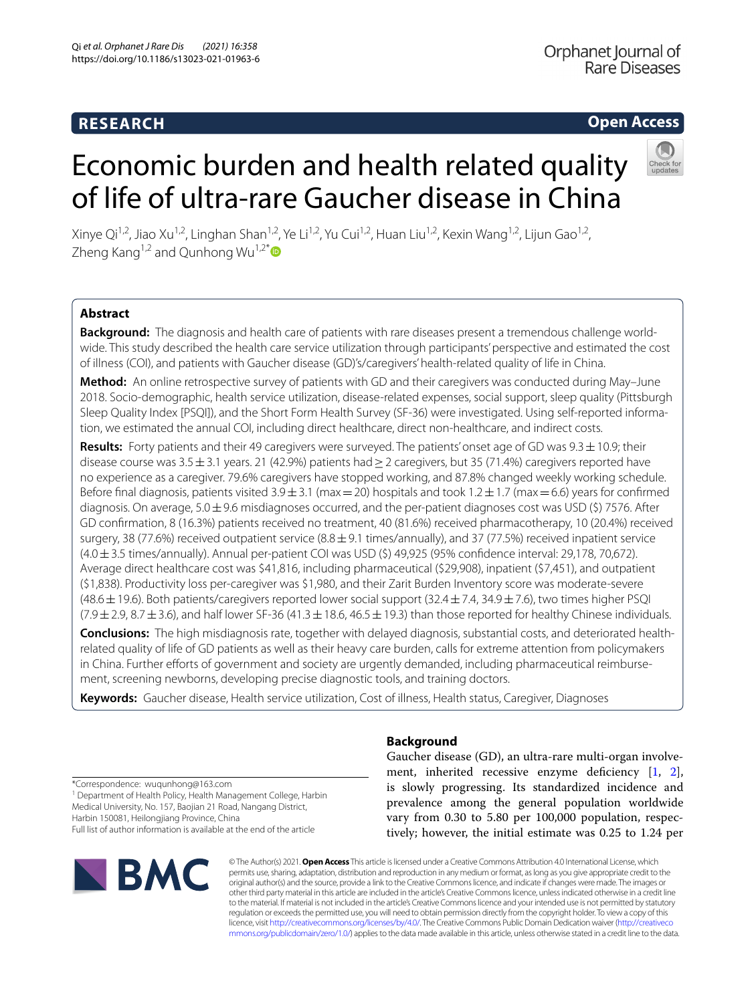# **RESEARCH**

# **Open Access**

Xinye Qi<sup>1,2</sup>, Jiao Xu<sup>1,2</sup>, Linghan Shan<sup>1,2</sup>, Ye Li<sup>1,2</sup>, Yu Cui<sup>1,2</sup>, Huan Liu<sup>1,2</sup>, Kexin Wang<sup>1,2</sup>, Lijun Gao<sup>1,2</sup>, Zheng Kang<sup>1,2</sup> and Qunhong Wu<sup>1,2[\\*](http://orcid.org/0000-0002-2873-5266)</sup>

Economic burden and health related quality

of life of ultra-rare Gaucher disease in China

# **Abstract**

**Background:** The diagnosis and health care of patients with rare diseases present a tremendous challenge worldwide. This study described the health care service utilization through participants' perspective and estimated the cost of illness (COI), and patients with Gaucher disease (GD)'s/caregivers' health-related quality of life in China.

**Method:** An online retrospective survey of patients with GD and their caregivers was conducted during May–June 2018. Socio-demographic, health service utilization, disease-related expenses, social support, sleep quality (Pittsburgh Sleep Quality Index [PSQI]), and the Short Form Health Survey (SF-36) were investigated. Using self-reported information, we estimated the annual COI, including direct healthcare, direct non-healthcare, and indirect costs.

**Results:** Forty patients and their 49 caregivers were surveyed. The patients' onset age of GD was 9.3±10.9; their disease course was  $3.5\pm3.1$  years. 21 (42.9%) patients had  $\geq$  2 caregivers, but 35 (71.4%) caregivers reported have no experience as a caregiver. 79.6% caregivers have stopped working, and 87.8% changed weekly working schedule. Before final diagnosis, patients visited  $3.9 \pm 3.1$  (max = 20) hospitals and took  $1.2 \pm 1.7$  (max = 6.6) years for confirmed diagnosis. On average,  $5.0 \pm 9.6$  misdiagnoses occurred, and the per-patient diagnoses cost was USD (\$) 7576. After GD confrmation, 8 (16.3%) patients received no treatment, 40 (81.6%) received pharmacotherapy, 10 (20.4%) received surgery, 38 (77.6%) received outpatient service (8.8  $\pm$  9.1 times/annually), and 37 (77.5%) received inpatient service (4.0±3.5 times/annually). Annual per-patient COI was USD (\$) 49,925 (95% confdence interval: 29,178, 70,672). Average direct healthcare cost was \$41,816, including pharmaceutical (\$29,908), inpatient (\$7,451), and outpatient (\$1,838). Productivity loss per-caregiver was \$1,980, and their Zarit Burden Inventory score was moderate-severe (48.6±19.6). Both patients/caregivers reported lower social support (32.4±7.4, 34.9±7.6), two times higher PSQI  $(7.9 \pm 2.9, 8.7 \pm 3.6)$ , and half lower SF-36 (41.3  $\pm$  18.6, 46.5  $\pm$  19.3) than those reported for healthy Chinese individuals.

**Conclusions:** The high misdiagnosis rate, together with delayed diagnosis, substantial costs, and deteriorated healthrelated quality of life of GD patients as well as their heavy care burden, calls for extreme attention from policymakers in China. Further efforts of government and society are urgently demanded, including pharmaceutical reimbursement, screening newborns, developing precise diagnostic tools, and training doctors.

**Keywords:** Gaucher disease, Health service utilization, Cost of illness, Health status, Caregiver, Diagnoses

# **Background**

Gaucher disease (GD), an ultra-rare multi-organ involvement, inherited recessive enzyme deficiency  $[1, 2]$  $[1, 2]$  $[1, 2]$  $[1, 2]$ , is slowly progressing. Its standardized incidence and prevalence among the general population worldwide vary from 0.30 to 5.80 per 100,000 population, respectively; however, the initial estimate was 0.25 to 1.24 per

\*Correspondence: wuqunhong@163.com

<sup>1</sup> Department of Health Policy, Health Management College, Harbin Medical University, No. 157, Baojian 21 Road, Nangang District, Harbin 150081, Heilongjiang Province, China

Full list of author information is available at the end of the article



© The Author(s) 2021. **Open Access** This article is licensed under a Creative Commons Attribution 4.0 International License, which permits use, sharing, adaptation, distribution and reproduction in any medium or format, as long as you give appropriate credit to the original author(s) and the source, provide a link to the Creative Commons licence, and indicate if changes were made. The images or other third party material in this article are included in the article's Creative Commons licence, unless indicated otherwise in a credit line to the material. If material is not included in the article's Creative Commons licence and your intended use is not permitted by statutory regulation or exceeds the permitted use, you will need to obtain permission directly from the copyright holder. To view a copy of this licence, visit [http://creativecommons.org/licenses/by/4.0/.](http://creativecommons.org/licenses/by/4.0/) The Creative Commons Public Domain Dedication waiver ([http://creativeco](http://creativecommons.org/publicdomain/zero/1.0/) [mmons.org/publicdomain/zero/1.0/](http://creativecommons.org/publicdomain/zero/1.0/)) applies to the data made available in this article, unless otherwise stated in a credit line to the data.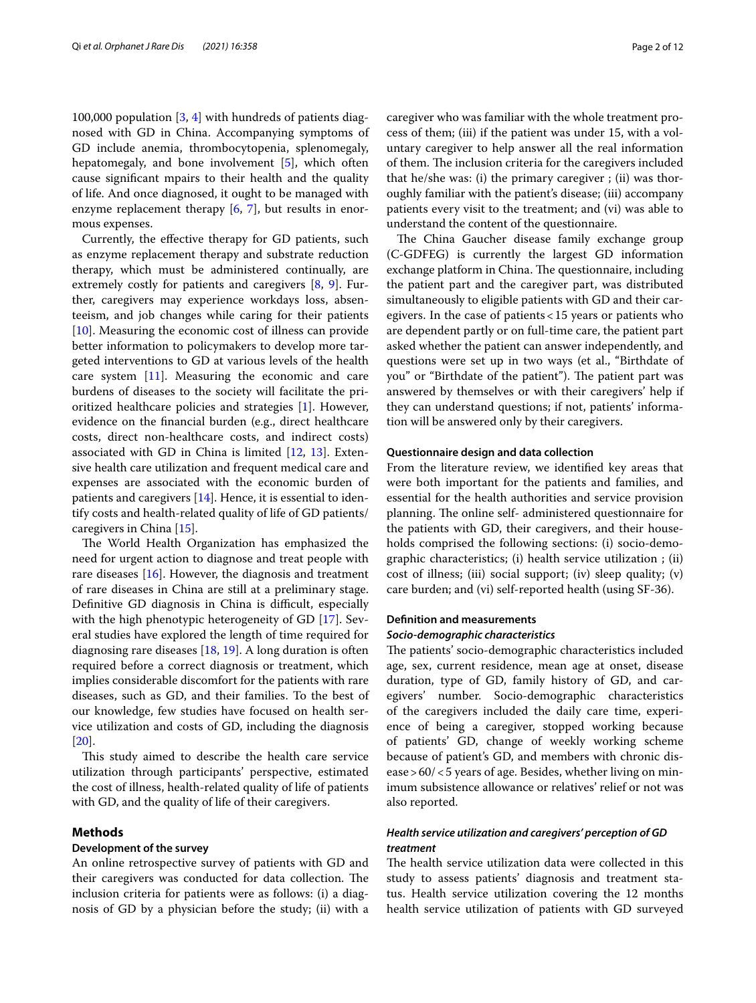100,000 population [\[3](#page-9-2), [4](#page-9-3)] with hundreds of patients diagnosed with GD in China. Accompanying symptoms of GD include anemia, thrombocytopenia, splenomegaly, hepatomegaly, and bone involvement [\[5](#page-9-4)], which often cause signifcant mpairs to their health and the quality of life. And once diagnosed, it ought to be managed with enzyme replacement therapy  $[6, 7]$  $[6, 7]$  $[6, 7]$  $[6, 7]$ , but results in enormous expenses.

Currently, the efective therapy for GD patients, such as enzyme replacement therapy and substrate reduction therapy, which must be administered continually, are extremely costly for patients and caregivers [[8,](#page-9-7) [9\]](#page-9-8). Further, caregivers may experience workdays loss, absenteeism, and job changes while caring for their patients [[10\]](#page-9-9). Measuring the economic cost of illness can provide better information to policymakers to develop more targeted interventions to GD at various levels of the health care system [[11\]](#page-9-10). Measuring the economic and care burdens of diseases to the society will facilitate the prioritized healthcare policies and strategies [\[1\]](#page-9-0). However, evidence on the fnancial burden (e.g., direct healthcare costs, direct non-healthcare costs, and indirect costs) associated with GD in China is limited  $[12, 13]$  $[12, 13]$  $[12, 13]$  $[12, 13]$  $[12, 13]$ . Extensive health care utilization and frequent medical care and expenses are associated with the economic burden of patients and caregivers [[14\]](#page-9-13). Hence, it is essential to identify costs and health-related quality of life of GD patients/ caregivers in China [[15\]](#page-9-14).

The World Health Organization has emphasized the need for urgent action to diagnose and treat people with rare diseases [\[16](#page-9-15)]. However, the diagnosis and treatment of rare diseases in China are still at a preliminary stage. Definitive GD diagnosis in China is difficult, especially with the high phenotypic heterogeneity of GD [\[17](#page-9-16)]. Several studies have explored the length of time required for diagnosing rare diseases [\[18,](#page-9-17) [19](#page-9-18)]. A long duration is often required before a correct diagnosis or treatment, which implies considerable discomfort for the patients with rare diseases, such as GD, and their families. To the best of our knowledge, few studies have focused on health service utilization and costs of GD, including the diagnosis [[20\]](#page-9-19).

This study aimed to describe the health care service utilization through participants' perspective, estimated the cost of illness, health-related quality of life of patients with GD, and the quality of life of their caregivers.

# **Methods**

#### **Development of the survey**

An online retrospective survey of patients with GD and their caregivers was conducted for data collection. The inclusion criteria for patients were as follows: (i) a diagnosis of GD by a physician before the study; (ii) with a caregiver who was familiar with the whole treatment process of them; (iii) if the patient was under 15, with a voluntary caregiver to help answer all the real information of them. The inclusion criteria for the caregivers included that he/she was: (i) the primary caregiver ; (ii) was thoroughly familiar with the patient's disease; (iii) accompany patients every visit to the treatment; and (vi) was able to understand the content of the questionnaire.

The China Gaucher disease family exchange group (C-GDFEG) is currently the largest GD information exchange platform in China. The questionnaire, including the patient part and the caregiver part, was distributed simultaneously to eligible patients with GD and their caregivers. In the case of patients<15 years or patients who are dependent partly or on full-time care, the patient part asked whether the patient can answer independently, and questions were set up in two ways (et al., "Birthdate of you" or "Birthdate of the patient"). The patient part was answered by themselves or with their caregivers' help if they can understand questions; if not, patients' information will be answered only by their caregivers.

## **Questionnaire design and data collection**

From the literature review, we identifed key areas that were both important for the patients and families, and essential for the health authorities and service provision planning. The online self- administered questionnaire for the patients with GD, their caregivers, and their households comprised the following sections: (i) socio-demographic characteristics; (i) health service utilization ; (ii) cost of illness; (iii) social support; (iv) sleep quality; (v) care burden; and (vi) self-reported health (using SF-36).

#### **Defnition and measurements**

#### *Socio‑demographic characteristics*

The patients' socio-demographic characteristics included age, sex, current residence, mean age at onset, disease duration, type of GD, family history of GD, and caregivers' number. Socio-demographic characteristics of the caregivers included the daily care time, experience of being a caregiver, stopped working because of patients' GD, change of weekly working scheme because of patient's GD, and members with chronic disease>60/<5 years of age. Besides, whether living on minimum subsistence allowance or relatives' relief or not was also reported.

# *Health service utilization and caregivers' perception of GD treatment*

The health service utilization data were collected in this study to assess patients' diagnosis and treatment status. Health service utilization covering the 12 months health service utilization of patients with GD surveyed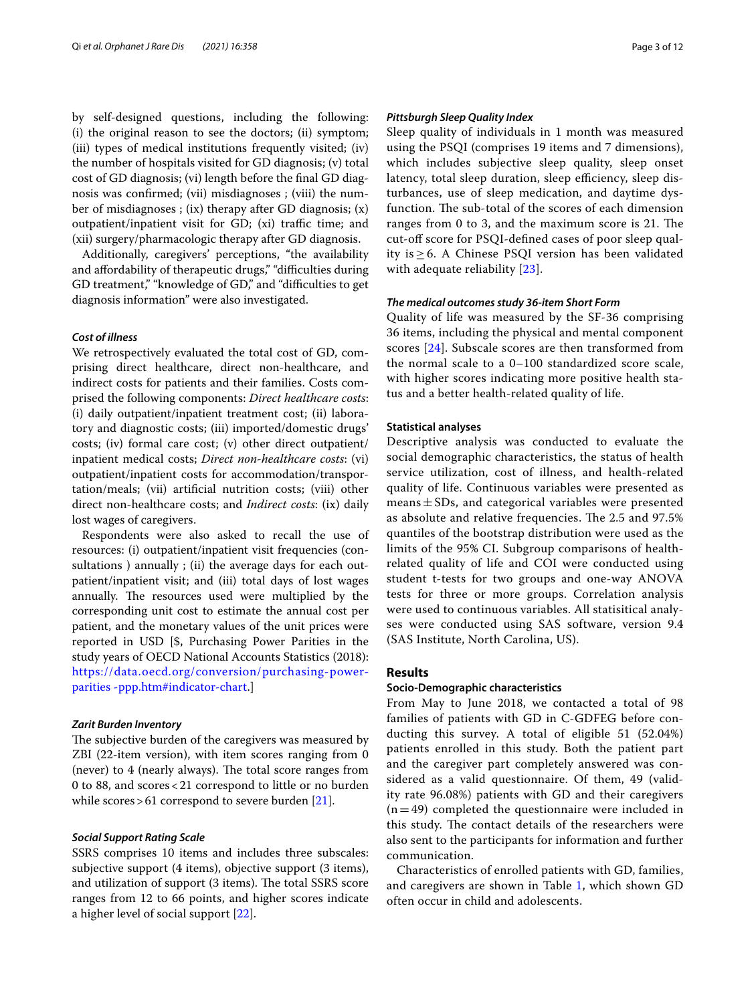by self-designed questions, including the following: (i) the original reason to see the doctors; (ii) symptom; (iii) types of medical institutions frequently visited; (iv) the number of hospitals visited for GD diagnosis; (v) total cost of GD diagnosis; (vi) length before the fnal GD diagnosis was confrmed; (vii) misdiagnoses ; (viii) the number of misdiagnoses ; (ix) therapy after GD diagnosis; (x) outpatient/inpatient visit for GD; (xi) traffic time; and (xii) surgery/pharmacologic therapy after GD diagnosis.

Additionally, caregivers' perceptions, "the availability and affordability of therapeutic drugs," "difficulties during GD treatment," "knowledge of GD," and "difficulties to get diagnosis information" were also investigated.

# *Cost of illness*

We retrospectively evaluated the total cost of GD, comprising direct healthcare, direct non-healthcare, and indirect costs for patients and their families. Costs comprised the following components: *Direct healthcare costs*: (i) daily outpatient/inpatient treatment cost; (ii) laboratory and diagnostic costs; (iii) imported/domestic drugs' costs; (iv) formal care cost; (v) other direct outpatient/ inpatient medical costs; *Direct non-healthcare costs*: (vi) outpatient/inpatient costs for accommodation/transportation/meals; (vii) artifcial nutrition costs; (viii) other direct non-healthcare costs; and *Indirect costs*: (ix) daily lost wages of caregivers.

Respondents were also asked to recall the use of resources: (i) outpatient/inpatient visit frequencies (consultations ) annually ; (ii) the average days for each outpatient/inpatient visit; and (iii) total days of lost wages annually. The resources used were multiplied by the corresponding unit cost to estimate the annual cost per patient, and the monetary values of the unit prices were reported in USD [\$, Purchasing Power Parities in the study years of OECD National Accounts Statistics (2018): [https://data.oecd.org/conversion/purchasing-power](https://data.oecd.org/conversion/purchasing-power-parities-ppp.htm#indicator-chart)[parities -ppp.htm#indicator-chart.](https://data.oecd.org/conversion/purchasing-power-parities-ppp.htm#indicator-chart)]

#### *Zarit Burden Inventory*

The subjective burden of the caregivers was measured by ZBI (22-item version), with item scores ranging from 0 (never) to 4 (nearly always). The total score ranges from 0 to 88, and scores<21 correspond to little or no burden while scores > 61 correspond to severe burden [[21\]](#page-9-20).

## *Social Support Rating Scale*

SSRS comprises 10 items and includes three subscales: subjective support (4 items), objective support (3 items), and utilization of support (3 items). The total SSRS score ranges from 12 to 66 points, and higher scores indicate a higher level of social support [[22\]](#page-9-21).

# *Pittsburgh Sleep Quality Index*

Sleep quality of individuals in 1 month was measured using the PSQI (comprises 19 items and 7 dimensions), which includes subjective sleep quality, sleep onset latency, total sleep duration, sleep efficiency, sleep disturbances, use of sleep medication, and daytime dysfunction. The sub-total of the scores of each dimension ranges from 0 to 3, and the maximum score is 21. The cut-off score for PSQI-defined cases of poor sleep quality is ≥ 6. A Chinese PSQI version has been validated with adequate reliability [[23](#page-9-22)].

## *The medical outcomes study 36‑item Short Form*

Quality of life was measured by the SF-36 comprising 36 items, including the physical and mental component scores [\[24](#page-9-23)]. Subscale scores are then transformed from the normal scale to a 0–100 standardized score scale, with higher scores indicating more positive health status and a better health-related quality of life.

#### **Statistical analyses**

Descriptive analysis was conducted to evaluate the social demographic characteristics, the status of health service utilization, cost of illness, and health-related quality of life. Continuous variables were presented as means  $\pm$  SDs, and categorical variables were presented as absolute and relative frequencies. The 2.5 and 97.5% quantiles of the bootstrap distribution were used as the limits of the 95% CI. Subgroup comparisons of healthrelated quality of life and COI were conducted using student t-tests for two groups and one-way ANOVA tests for three or more groups. Correlation analysis were used to continuous variables. All statisitical analyses were conducted using SAS software, version 9.4 (SAS Institute, North Carolina, US).

# **Results**

# **Socio‑Demographic characteristics**

From May to June 2018, we contacted a total of 98 families of patients with GD in C-GDFEG before conducting this survey. A total of eligible 51 (52.04%) patients enrolled in this study. Both the patient part and the caregiver part completely answered was considered as a valid questionnaire. Of them, 49 (validity rate 96.08%) patients with GD and their caregivers  $(n=49)$  completed the questionnaire were included in this study. The contact details of the researchers were also sent to the participants for information and further communication.

Characteristics of enrolled patients with GD, families, and caregivers are shown in Table [1](#page-3-0), which shown GD often occur in child and adolescents.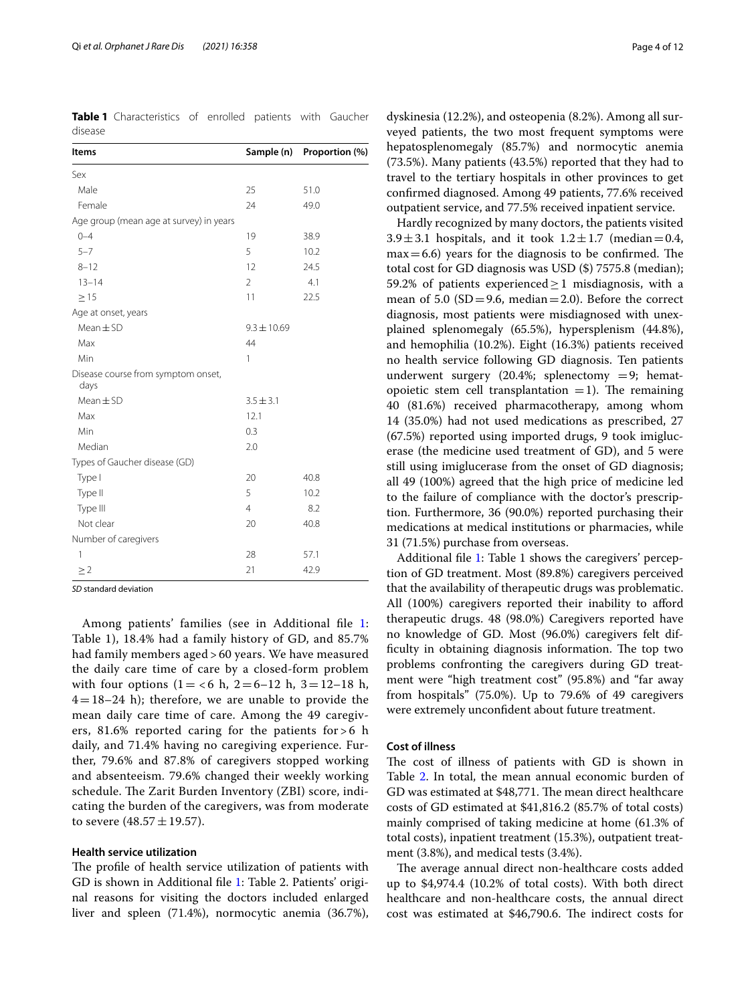<span id="page-3-0"></span>**Table 1** Characteristics of enrolled patients with Gaucher disease

| Items                                      | Sample (n)      | Proportion (%) |  |  |
|--------------------------------------------|-----------------|----------------|--|--|
| Sex                                        |                 |                |  |  |
| Male                                       | 25              | 51.0           |  |  |
| Female                                     | 24              | 49.0           |  |  |
| Age group (mean age at survey) in years    |                 |                |  |  |
| $() - 4$                                   | 19              | 38.9           |  |  |
| $5 - 7$                                    | 5               | 10.2           |  |  |
| $8 - 12$                                   | 12              | 24.5           |  |  |
| $13 - 14$                                  | $\overline{2}$  | 4.1            |  |  |
| $\geq$ 15                                  | 11              | 22.5           |  |  |
| Age at onset, years                        |                 |                |  |  |
| $Mean \pm SD$                              | $9.3 \pm 10.69$ |                |  |  |
| Max                                        | 44              |                |  |  |
| Min                                        | 1               |                |  |  |
| Disease course from symptom onset,<br>days |                 |                |  |  |
| $Mean \pm SD$                              | $3.5 \pm 3.1$   |                |  |  |
| Max                                        | 12.1            |                |  |  |
| Min                                        | 0.3             |                |  |  |
| Median                                     | 2.0             |                |  |  |
| Types of Gaucher disease (GD)              |                 |                |  |  |
| Type I                                     | 20              | 40.8           |  |  |
| Type II                                    | 5               | 10.2           |  |  |
| Type III                                   | $\overline{4}$  | 8.2            |  |  |
| Not clear                                  | 20              | 40.8           |  |  |
| Number of caregivers                       |                 |                |  |  |
| 1                                          | 28              | 57.1           |  |  |
| $\geq$ 2                                   | 21              | 42.9           |  |  |

*SD* standard deviation

Among patients' families (see in Additional fle [1](#page-9-24): Table 1), 18.4% had a family history of GD, and 85.7% had family members aged > 60 years. We have measured the daily care time of care by a closed-form problem with four options  $(1 = < 6 \text{ h}, 2 = 6 - 12 \text{ h}, 3 = 12 - 18 \text{ h},$  $4=18-24$  h); therefore, we are unable to provide the mean daily care time of care. Among the 49 caregivers, 81.6% reported caring for the patients for  $> 6$  h daily, and 71.4% having no caregiving experience. Further, 79.6% and 87.8% of caregivers stopped working and absenteeism. 79.6% changed their weekly working schedule. The Zarit Burden Inventory (ZBI) score, indicating the burden of the caregivers, was from moderate to severe  $(48.57 \pm 19.57)$ .

#### **Health service utilization**

The profile of health service utilization of patients with GD is shown in Additional fle [1](#page-9-24): Table 2. Patients' original reasons for visiting the doctors included enlarged liver and spleen (71.4%), normocytic anemia (36.7%),

dyskinesia (12.2%), and osteopenia (8.2%). Among all surveyed patients, the two most frequent symptoms were hepatosplenomegaly (85.7%) and normocytic anemia (73.5%). Many patients (43.5%) reported that they had to travel to the tertiary hospitals in other provinces to get confrmed diagnosed. Among 49 patients, 77.6% received outpatient service, and 77.5% received inpatient service.

Hardly recognized by many doctors, the patients visited 3.9 $\pm$ 3.1 hospitals, and it took 1.2 $\pm$ 1.7 (median=0.4,  $max=6.6$ ) years for the diagnosis to be confirmed. The total cost for GD diagnosis was USD (\$) 7575.8 (median); 59.2% of patients experienced  $\geq$  1 misdiagnosis, with a mean of 5.0 (SD = 9.6, median = 2.0). Before the correct diagnosis, most patients were misdiagnosed with unexplained splenomegaly (65.5%), hypersplenism (44.8%), and hemophilia (10.2%). Eight (16.3%) patients received no health service following GD diagnosis. Ten patients underwent surgery (20.4%; splenectomy  $=$  9; hematopoietic stem cell transplantation  $=1$ ). The remaining 40 (81.6%) received pharmacotherapy, among whom 14 (35.0%) had not used medications as prescribed, 27 (67.5%) reported using imported drugs, 9 took imiglucerase (the medicine used treatment of GD), and 5 were still using imiglucerase from the onset of GD diagnosis; all 49 (100%) agreed that the high price of medicine led to the failure of compliance with the doctor's prescription. Furthermore, 36 (90.0%) reported purchasing their medications at medical institutions or pharmacies, while 31 (71.5%) purchase from overseas.

Additional fle [1](#page-9-24): Table 1 shows the caregivers' perception of GD treatment. Most (89.8%) caregivers perceived that the availability of therapeutic drugs was problematic. All (100%) caregivers reported their inability to afford therapeutic drugs. 48 (98.0%) Caregivers reported have no knowledge of GD. Most (96.0%) caregivers felt difficulty in obtaining diagnosis information. The top two problems confronting the caregivers during GD treatment were "high treatment cost" (95.8%) and "far away from hospitals" (75.0%). Up to 79.6% of 49 caregivers were extremely unconfdent about future treatment.

# **Cost of illness**

The cost of illness of patients with GD is shown in Table [2.](#page-4-0) In total, the mean annual economic burden of GD was estimated at \$48,771. The mean direct healthcare costs of GD estimated at \$41,816.2 (85.7% of total costs) mainly comprised of taking medicine at home (61.3% of total costs), inpatient treatment (15.3%), outpatient treatment (3.8%), and medical tests (3.4%).

The average annual direct non-healthcare costs added up to \$4,974.4 (10.2% of total costs). With both direct healthcare and non-healthcare costs, the annual direct cost was estimated at \$46,790.6. The indirect costs for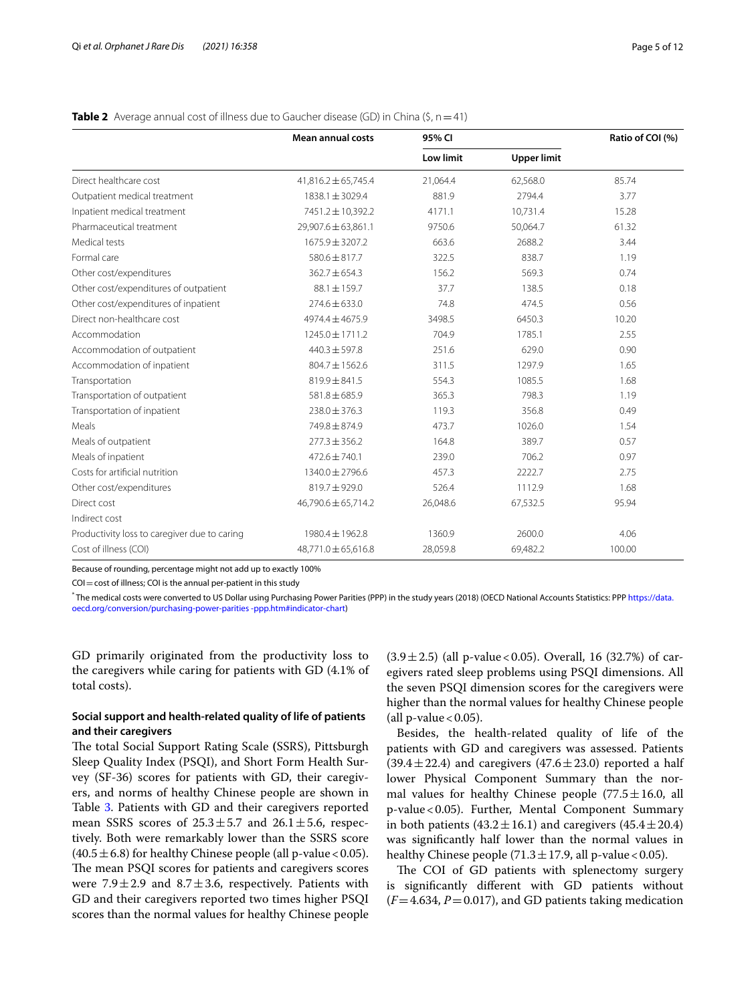|                                              | <b>Mean annual costs</b> | 95% CI           |                    | Ratio of COI (%) |  |
|----------------------------------------------|--------------------------|------------------|--------------------|------------------|--|
|                                              |                          | <b>Low limit</b> | <b>Upper limit</b> |                  |  |
| Direct healthcare cost                       | $41,816.2 \pm 65,745.4$  | 21,064.4         | 62,568.0           | 85.74            |  |
| Outpatient medical treatment                 | $1838.1 \pm 3029.4$      | 881.9            | 2794.4             | 3.77             |  |
| Inpatient medical treatment                  | 7451.2±10,392.2          | 4171.1           | 10,731.4           | 15.28            |  |
| Pharmaceutical treatment                     | 29,907.6 ± 63,861.1      | 9750.6           | 50,064.7           | 61.32            |  |
| Medical tests                                | 1675.9 ± 3207.2          | 663.6            | 2688.2             | 3.44             |  |
| Formal care                                  | 580.6 ± 817.7            | 322.5            | 838.7              | 1.19             |  |
| Other cost/expenditures                      | $362.7 \pm 654.3$        | 156.2            | 569.3              | 0.74             |  |
| Other cost/expenditures of outpatient        | $88.1 \pm 159.7$         | 37.7             | 138.5              | 0.18             |  |
| Other cost/expenditures of inpatient         | $274.6 \pm 633.0$        | 74.8             | 474.5              | 0.56             |  |
| Direct non-healthcare cost                   | 4974.4 ± 4675.9          | 3498.5           | 6450.3             | 10.20            |  |
| Accommodation                                | $1245.0 \pm 1711.2$      | 704.9            | 1785.1             | 2.55             |  |
| Accommodation of outpatient                  | $440.3 \pm 597.8$        | 251.6            | 629.0              | 0.90             |  |
| Accommodation of inpatient                   | 804.7 ± 1562.6           | 311.5            | 1297.9             | 1.65             |  |
| Transportation                               | 819.9 ± 841.5            | 554.3            | 1085.5             | 1.68             |  |
| Transportation of outpatient                 | 581.8 ± 685.9            | 365.3            | 798.3              | 1.19             |  |
| Transportation of inpatient                  | $238.0 \pm 376.3$        | 119.3            | 356.8              | 0.49             |  |
| Meals                                        | 749.8 ± 874.9            | 473.7            | 1026.0             | 1.54             |  |
| Meals of outpatient                          | $277.3 \pm 356.2$        | 164.8            | 389.7              | 0.57             |  |
| Meals of inpatient                           | $472.6 \pm 740.1$        | 239.0            | 706.2              | 0.97             |  |
| Costs for artificial nutrition               | $1340.0 \pm 2796.6$      | 457.3            | 2222.7             | 2.75             |  |
| Other cost/expenditures                      | $819.7 \pm 929.0$        | 526.4            | 1112.9             | 1.68             |  |
| Direct cost                                  | 46,790.6 ± 65,714.2      | 26,048.6         | 67,532.5           | 95.94            |  |
| Indirect cost                                |                          |                  |                    |                  |  |
| Productivity loss to caregiver due to caring | 1980.4 ± 1962.8          | 1360.9           | 2600.0             | 4.06             |  |
| Cost of illness (COI)                        | 48,771.0 ± 65,616.8      | 28,059.8         | 69,482.2           | 100.00           |  |

# <span id="page-4-0"></span>**Table 2** Average annual cost of illness due to Gaucher disease (GD) in China (\$, n=41)

Because of rounding, percentage might not add up to exactly 100%

COI = cost of illness; COI is the annual per-patient in this study

\* The medical costs were converted to US Dollar using Purchasing Power Parities (PPP) in the study years (2018) (OECD National Accounts Statistics: PPP [https://data.](https://data.oecd.org/conversion/purchasing-power-parities-ppp.htm#indicator-chart) [oecd.org/conversion/purchasing-power-parities -ppp.htm#indicator-chart](https://data.oecd.org/conversion/purchasing-power-parities-ppp.htm#indicator-chart))

GD primarily originated from the productivity loss to the caregivers while caring for patients with GD (4.1% of total costs).

# **Social support and health‑related quality of life of patients and their caregivers**

The total Social Support Rating Scale (SSRS), Pittsburgh Sleep Quality Index (PSQI), and Short Form Health Survey (SF-36) scores for patients with GD, their caregivers, and norms of healthy Chinese people are shown in Table [3](#page-5-0). Patients with GD and their caregivers reported mean SSRS scores of  $25.3 \pm 5.7$  and  $26.1 \pm 5.6$ , respectively. Both were remarkably lower than the SSRS score  $(40.5 \pm 6.8)$  for healthy Chinese people (all p-value < 0.05). The mean PSQI scores for patients and caregivers scores were 7.9 $\pm$ 2.9 and 8.7 $\pm$ 3.6, respectively. Patients with GD and their caregivers reported two times higher PSQI scores than the normal values for healthy Chinese people

 $(3.9 \pm 2.5)$  (all p-value < 0.05). Overall, 16 (32.7%) of caregivers rated sleep problems using PSQI dimensions. All the seven PSQI dimension scores for the caregivers were higher than the normal values for healthy Chinese people (all p-value  $< 0.05$ ).

Besides, the health-related quality of life of the patients with GD and caregivers was assessed. Patients  $(39.4 \pm 22.4)$  and caregivers  $(47.6 \pm 23.0)$  reported a half lower Physical Component Summary than the normal values for healthy Chinese people  $(77.5 \pm 16.0, \text{ all})$ p-value<0.05). Further, Mental Component Summary in both patients  $(43.2 \pm 16.1)$  and caregivers  $(45.4 \pm 20.4)$ was signifcantly half lower than the normal values in healthy Chinese people (71.3  $\pm$  17.9, all p-value < 0.05).

The COI of GD patients with splenectomy surgery is signifcantly diferent with GD patients without  $(F=4.634, P=0.017)$ , and GD patients taking medication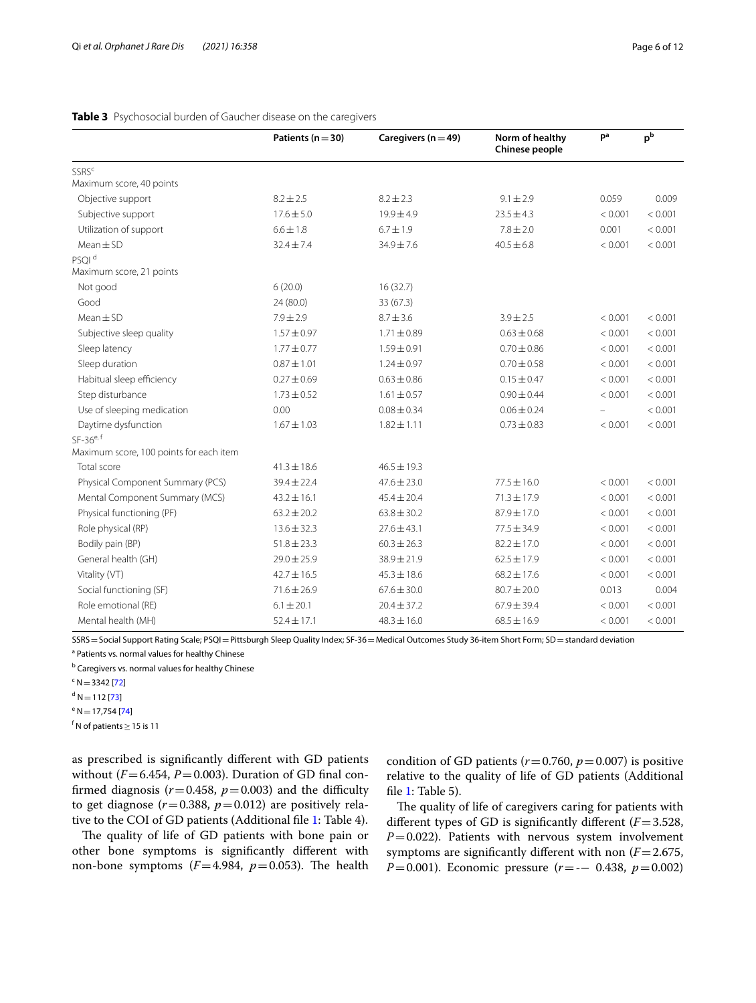|                                         | Patients ( $n = 30$ ) | Caregivers ( $n = 49$ ) | Norm of healthy<br>Chinese people | pa                       | $p^b$   |
|-----------------------------------------|-----------------------|-------------------------|-----------------------------------|--------------------------|---------|
| SSRS <sup>c</sup>                       |                       |                         |                                   |                          |         |
| Maximum score, 40 points                |                       |                         |                                   |                          |         |
| Objective support                       | $8.2 \pm 2.5$         | $8.2 \pm 2.3$           | $9.1 \pm 2.9$                     | 0.059                    | 0.009   |
| Subjective support                      | $17.6 \pm 5.0$        | $19.9 \pm 4.9$          | $23.5 \pm 4.3$                    | < 0.001                  | < 0.001 |
| Utilization of support                  | $6.6 \pm 1.8$         | $6.7 \pm 1.9$           | $7.8 \pm 2.0$                     | 0.001                    | < 0.001 |
| $Mean \pm SD$                           | $32.4 \pm 7.4$        | 34.9±7.6                | $40.5 \pm 6.8$                    | < 0.001                  | < 0.001 |
| PSOI <sup>d</sup>                       |                       |                         |                                   |                          |         |
| Maximum score, 21 points                |                       |                         |                                   |                          |         |
| Not good                                | 6(20.0)               | 16(32.7)                |                                   |                          |         |
| Good                                    | 24 (80.0)             | 33 (67.3)               |                                   |                          |         |
| $Mean + SD$                             | $7.9 \pm 2.9$         | $8.7 \pm 3.6$           | $3.9 \pm 2.5$                     | < 0.001                  | < 0.001 |
| Subjective sleep quality                | $1.57 \pm 0.97$       | $1.71 \pm 0.89$         | $0.63 \pm 0.68$                   | < 0.001                  | < 0.001 |
| Sleep latency                           | $1.77 \pm 0.77$       | $1.59 \pm 0.91$         | $0.70 \pm 0.86$                   | < 0.001                  | < 0.001 |
| Sleep duration                          | $0.87 + 1.01$         | $1.24 \pm 0.97$         | $0.70 \pm 0.58$                   | < 0.001                  | < 0.001 |
| Habitual sleep efficiency               | $0.27 \pm 0.69$       | $0.63 \pm 0.86$         | $0.15 \pm 0.47$                   | < 0.001                  | < 0.001 |
| Step disturbance                        | $1.73 \pm 0.52$       | $1.61 \pm 0.57$         | $0.90 \pm 0.44$                   | < 0.001                  | < 0.001 |
| Use of sleeping medication              | 0.00                  | $0.08 \pm 0.34$         | $0.06 \pm 0.24$                   | $\overline{\phantom{0}}$ | < 0.001 |
| Daytime dysfunction                     | $1.67 \pm 1.03$       | $1.82 \pm 1.11$         | $0.73 \pm 0.83$                   | < 0.001                  | < 0.001 |
| $SF-36^{e,f}$                           |                       |                         |                                   |                          |         |
| Maximum score, 100 points for each item |                       |                         |                                   |                          |         |
| Total score                             | $41.3 \pm 18.6$       | $46.5 \pm 19.3$         |                                   |                          |         |
| Physical Component Summary (PCS)        | $39.4 \pm 22.4$       | $47.6 \pm 23.0$         | $77.5 + 16.0$                     | < 0.001                  | < 0.001 |
| Mental Component Summary (MCS)          | $43.2 \pm 16.1$       | $45.4 \pm 20.4$         | $71.3 + 17.9$                     | < 0.001                  | < 0.001 |
| Physical functioning (PF)               | $63.2 \pm 20.2$       | $63.8 \pm 30.2$         | $87.9 \pm 17.0$                   | < 0.001                  | < 0.001 |
| Role physical (RP)                      | $13.6 \pm 32.3$       | $77.6 + 43.1$           | $77.5 + 34.9$                     | < 0.001                  | < 0.001 |
| Bodily pain (BP)                        | $51.8 \pm 23.3$       | $60.3 \pm 26.3$         | $82.2 \pm 17.0$                   | < 0.001                  | < 0.001 |
| General health (GH)                     | $29.0 \pm 25.9$       | 38.9±21.9               | $62.5 \pm 17.9$                   | < 0.001                  | < 0.001 |
| Vitality (VT)                           | $42.7 \pm 16.5$       | $45.3 \pm 18.6$         | $68.2 \pm 17.6$                   | < 0.001                  | < 0.001 |
| Social functioning (SF)                 | $71.6 \pm 26.9$       | $67.6 \pm 30.0$         | $80.7 \pm 20.0$                   | 0.013                    | 0.004   |
| Role emotional (RE)                     | $6.1 \pm 20.1$        | $20.4 \pm 37.2$         | $67.9 \pm 39.4$                   | < 0.001                  | < 0.001 |
| Mental health (MH)                      | $52.4 \pm 17.1$       | $48.3 \pm 16.0$         | $68.5 \pm 16.9$                   | < 0.001                  | < 0.001 |

# <span id="page-5-0"></span>**Table 3** Psychosocial burden of Gaucher disease on the caregivers

SSRS=Social Support Rating Scale; PSQI=Pittsburgh Sleep Quality Index; SF-36=Medical Outcomes Study 36-item Short Form; SD=standard deviation

<sup>a</sup> Patients vs. normal values for healthy Chinese

<sup>b</sup> Caregivers vs. normal values for healthy Chinese

 $c$  N = 3342 [\[72](#page-11-0)]

 $d$  N = 112 [\[73](#page-11-1)]

$$
^{e}N\!=\!17{,}754\left[74\right]
$$

 $^{\mathsf{f}}$  N of patients  $\geq$  15 is 11

as prescribed is signifcantly diferent with GD patients without  $(F=6.454, P=0.003)$ . Duration of GD final confirmed diagnosis ( $r = 0.458$ ,  $p = 0.003$ ) and the difficulty to get diagnose  $(r=0.388, p=0.012)$  are positively relative to the COI of GD patients (Additional fle [1:](#page-9-24) Table 4).

The quality of life of GD patients with bone pain or other bone symptoms is signifcantly diferent with non-bone symptoms  $(F=4.984, p=0.053)$ . The health condition of GD patients ( $r = 0.760$ ,  $p = 0.007$ ) is positive relative to the quality of life of GD patients (Additional fle [1](#page-9-24): Table 5).

The quality of life of caregivers caring for patients with diferent types of GD is signifcantly diferent (*F*=3.528, *P*=0.022). Patients with nervous system involvement symptoms are significantly different with non  $(F=2.675,$ *P*=0.001). Economic pressure (*r*=−− 0.438, *p*=0.002)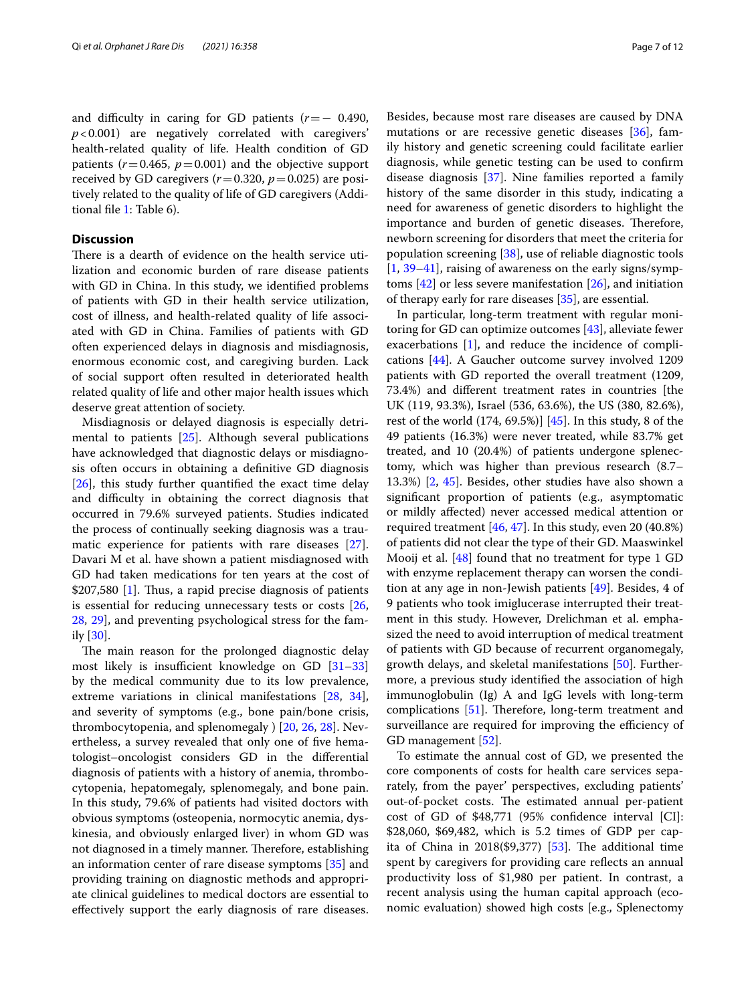and difficulty in caring for GD patients  $(r=-0.490,$ *p*<0.001) are negatively correlated with caregivers' health-related quality of life. Health condition of GD patients  $(r=0.465, p=0.001)$  and the objective support received by GD caregivers  $(r=0.320, p=0.025)$  are positively related to the quality of life of GD caregivers (Additional fle [1](#page-9-24): Table 6).

# **Discussion**

There is a dearth of evidence on the health service utilization and economic burden of rare disease patients with GD in China. In this study, we identifed problems of patients with GD in their health service utilization, cost of illness, and health-related quality of life associated with GD in China. Families of patients with GD often experienced delays in diagnosis and misdiagnosis, enormous economic cost, and caregiving burden. Lack of social support often resulted in deteriorated health related quality of life and other major health issues which deserve great attention of society.

Misdiagnosis or delayed diagnosis is especially detrimental to patients [[25\]](#page-9-25). Although several publications have acknowledged that diagnostic delays or misdiagnosis often occurs in obtaining a defnitive GD diagnosis [[26\]](#page-9-26), this study further quantifed the exact time delay and difficulty in obtaining the correct diagnosis that occurred in 79.6% surveyed patients. Studies indicated the process of continually seeking diagnosis was a traumatic experience for patients with rare diseases [\[27](#page-10-0)]. Davari M et al. have shown a patient misdiagnosed with GD had taken medications for ten years at the cost of  $$207,580$  [[1\]](#page-9-0). Thus, a rapid precise diagnosis of patients is essential for reducing unnecessary tests or costs [\[26](#page-9-26), [28,](#page-10-1) [29\]](#page-10-2), and preventing psychological stress for the family [[30\]](#page-10-3).

The main reason for the prolonged diagnostic delay most likely is insufficient knowledge on GD  $[31-33]$  $[31-33]$  $[31-33]$ by the medical community due to its low prevalence, extreme variations in clinical manifestations [[28,](#page-10-1) [34](#page-10-6)], and severity of symptoms (e.g., bone pain/bone crisis, thrombocytopenia, and splenomegaly ) [\[20,](#page-9-19) [26,](#page-9-26) [28](#page-10-1)]. Nevertheless, a survey revealed that only one of fve hematologist–oncologist considers GD in the diferential diagnosis of patients with a history of anemia, thrombocytopenia, hepatomegaly, splenomegaly, and bone pain. In this study, 79.6% of patients had visited doctors with obvious symptoms (osteopenia, normocytic anemia, dyskinesia, and obviously enlarged liver) in whom GD was not diagnosed in a timely manner. Therefore, establishing an information center of rare disease symptoms [[35](#page-10-7)] and providing training on diagnostic methods and appropriate clinical guidelines to medical doctors are essential to efectively support the early diagnosis of rare diseases.

Besides, because most rare diseases are caused by DNA mutations or are recessive genetic diseases [\[36\]](#page-10-8), family history and genetic screening could facilitate earlier diagnosis, while genetic testing can be used to confrm disease diagnosis [\[37\]](#page-10-9). Nine families reported a family history of the same disorder in this study, indicating a need for awareness of genetic disorders to highlight the importance and burden of genetic diseases. Therefore, newborn screening for disorders that meet the criteria for population screening [[38\]](#page-10-10), use of reliable diagnostic tools [[1,](#page-9-0) [39–](#page-10-11)[41](#page-10-12)], raising of awareness on the early signs/symptoms  $[42]$  $[42]$  or less severe manifestation  $[26]$  $[26]$ , and initiation of therapy early for rare diseases [[35\]](#page-10-7), are essential.

In particular, long-term treatment with regular monitoring for GD can optimize outcomes [[43\]](#page-10-14), alleviate fewer exacerbations [\[1](#page-9-0)], and reduce the incidence of complications [[44\]](#page-10-15). A Gaucher outcome survey involved 1209 patients with GD reported the overall treatment (1209, 73.4%) and diferent treatment rates in countries [the UK (119, 93.3%), Israel (536, 63.6%), the US (380, 82.6%), rest of the world (174, 69.5%)] [[45\]](#page-10-16). In this study, 8 of the 49 patients (16.3%) were never treated, while 83.7% get treated, and 10 (20.4%) of patients undergone splenectomy, which was higher than previous research (8.7– 13.3%) [\[2](#page-9-1), [45\]](#page-10-16). Besides, other studies have also shown a signifcant proportion of patients (e.g., asymptomatic or mildly afected) never accessed medical attention or required treatment  $[46, 47]$  $[46, 47]$  $[46, 47]$ . In this study, even 20 (40.8%) of patients did not clear the type of their GD. Maaswinkel Mooij et al. [\[48](#page-10-19)] found that no treatment for type 1 GD with enzyme replacement therapy can worsen the condition at any age in non-Jewish patients [\[49\]](#page-10-20). Besides, 4 of 9 patients who took imiglucerase interrupted their treatment in this study. However, Drelichman et al. emphasized the need to avoid interruption of medical treatment of patients with GD because of recurrent organomegaly, growth delays, and skeletal manifestations [[50\]](#page-10-21). Furthermore, a previous study identifed the association of high immunoglobulin (Ig) A and IgG levels with long-term complications  $[51]$ . Therefore, long-term treatment and surveillance are required for improving the efficiency of GD management [\[52\]](#page-10-23).

To estimate the annual cost of GD, we presented the core components of costs for health care services separately, from the payer' perspectives, excluding patients' out-of-pocket costs. The estimated annual per-patient cost of GD of \$48,771 (95% confdence interval [CI]: \$28,060, \$69,482, which is 5.2 times of GDP per capita of China in  $2018(\$9,377)$  [[53\]](#page-10-24). The additional time spent by caregivers for providing care reflects an annual productivity loss of \$1,980 per patient. In contrast, a recent analysis using the human capital approach (economic evaluation) showed high costs [e.g., Splenectomy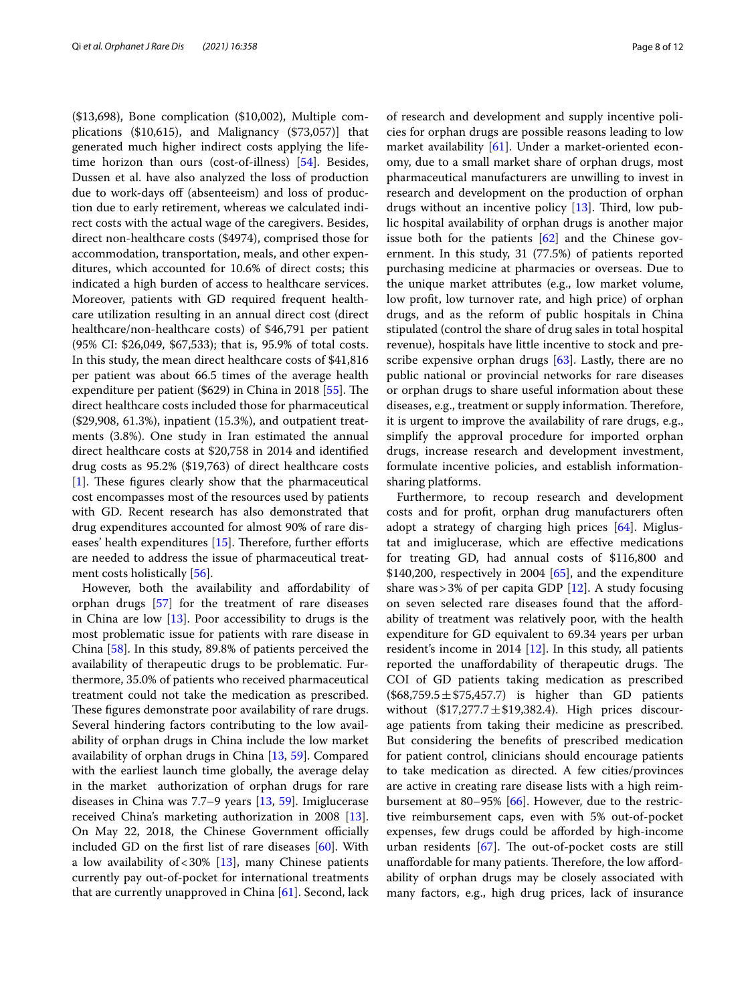(\$13,698), Bone complication (\$10,002), Multiple complications (\$10,615), and Malignancy (\$73,057)] that generated much higher indirect costs applying the lifetime horizon than ours (cost-of-illness) [[54\]](#page-10-25). Besides, Dussen et al. have also analyzed the loss of production due to work-days off (absenteeism) and loss of production due to early retirement, whereas we calculated indirect costs with the actual wage of the caregivers. Besides, direct non-healthcare costs (\$4974), comprised those for accommodation, transportation, meals, and other expenditures, which accounted for 10.6% of direct costs; this indicated a high burden of access to healthcare services. Moreover, patients with GD required frequent healthcare utilization resulting in an annual direct cost (direct healthcare/non-healthcare costs) of \$46,791 per patient (95% CI: \$26,049, \$67,533); that is, 95.9% of total costs. In this study, the mean direct healthcare costs of \$41,816 per patient was about 66.5 times of the average health expenditure per patient  $(\$629)$  in China in 2018 [\[55](#page-10-26)]. The direct healthcare costs included those for pharmaceutical (\$29,908, 61.3%), inpatient (15.3%), and outpatient treatments (3.8%). One study in Iran estimated the annual direct healthcare costs at \$20,758 in 2014 and identifed drug costs as 95.2% (\$19,763) of direct healthcare costs [[1\]](#page-9-0). These figures clearly show that the pharmaceutical cost encompasses most of the resources used by patients with GD. Recent research has also demonstrated that drug expenditures accounted for almost 90% of rare diseases' health expenditures  $[15]$  $[15]$ . Therefore, further efforts are needed to address the issue of pharmaceutical treatment costs holistically [[56\]](#page-10-27).

However, both the availability and afordability of orphan drugs [\[57\]](#page-10-28) for the treatment of rare diseases in China are low [\[13](#page-9-12)]. Poor accessibility to drugs is the most problematic issue for patients with rare disease in China [[58](#page-10-29)]. In this study, 89.8% of patients perceived the availability of therapeutic drugs to be problematic. Furthermore, 35.0% of patients who received pharmaceutical treatment could not take the medication as prescribed. These figures demonstrate poor availability of rare drugs. Several hindering factors contributing to the low availability of orphan drugs in China include the low market availability of orphan drugs in China [\[13](#page-9-12), [59\]](#page-10-30). Compared with the earliest launch time globally, the average delay in the market authorization of orphan drugs for rare diseases in China was 7.7–9 years [[13](#page-9-12), [59\]](#page-10-30). Imiglucerase received China's marketing authorization in 2008 [\[13](#page-9-12)]. On May 22, 2018, the Chinese Government officially included GD on the frst list of rare diseases [\[60\]](#page-10-31). With a low availability of  $<$  30% [\[13](#page-9-12)], many Chinese patients currently pay out-of-pocket for international treatments that are currently unapproved in China [[61\]](#page-10-32). Second, lack of research and development and supply incentive policies for orphan drugs are possible reasons leading to low market availability [\[61\]](#page-10-32). Under a market-oriented economy, due to a small market share of orphan drugs, most pharmaceutical manufacturers are unwilling to invest in research and development on the production of orphan drugs without an incentive policy  $[13]$  $[13]$ . Third, low public hospital availability of orphan drugs is another major issue both for the patients  $[62]$  $[62]$  $[62]$  and the Chinese government. In this study, 31 (77.5%) of patients reported purchasing medicine at pharmacies or overseas. Due to the unique market attributes (e.g., low market volume, low proft, low turnover rate, and high price) of orphan drugs, and as the reform of public hospitals in China stipulated (control the share of drug sales in total hospital revenue), hospitals have little incentive to stock and prescribe expensive orphan drugs  $[63]$  $[63]$ . Lastly, there are no public national or provincial networks for rare diseases or orphan drugs to share useful information about these diseases, e.g., treatment or supply information. Therefore, it is urgent to improve the availability of rare drugs, e.g., simplify the approval procedure for imported orphan drugs, increase research and development investment, formulate incentive policies, and establish informationsharing platforms.

Furthermore, to recoup research and development costs and for proft, orphan drug manufacturers often adopt a strategy of charging high prices [[64\]](#page-10-35). Miglustat and imiglucerase, which are efective medications for treating GD, had annual costs of \$116,800 and \$140,200, respectively in 2004 [\[65](#page-10-36)], and the expenditure share was  $>3\%$  of per capita GDP [\[12\]](#page-9-11). A study focusing on seven selected rare diseases found that the afordability of treatment was relatively poor, with the health expenditure for GD equivalent to 69.34 years per urban resident's income in 2014 [\[12](#page-9-11)]. In this study, all patients reported the unaffordability of therapeutic drugs. The COI of GD patients taking medication as prescribed  $(\$68,759.5±$75,457.7)$  is higher than GD patients without  $($17,277.7 \pm $19,382.4)$ . High prices discourage patients from taking their medicine as prescribed. But considering the benefts of prescribed medication for patient control, clinicians should encourage patients to take medication as directed. A few cities/provinces are active in creating rare disease lists with a high reimbursement at 80–95% [[66\]](#page-10-37). However, due to the restrictive reimbursement caps, even with 5% out-of-pocket expenses, few drugs could be aforded by high-income urban residents  $[67]$  $[67]$ . The out-of-pocket costs are still unaffordable for many patients. Therefore, the low affordability of orphan drugs may be closely associated with many factors, e.g., high drug prices, lack of insurance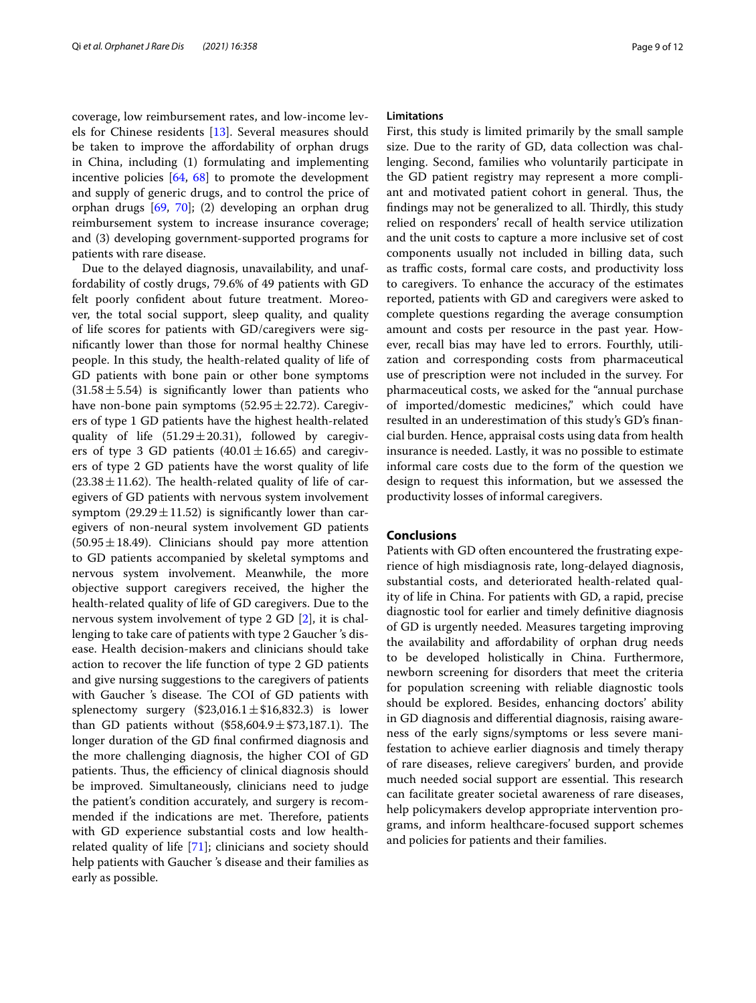coverage, low reimbursement rates, and low-income levels for Chinese residents [\[13\]](#page-9-12). Several measures should be taken to improve the affordability of orphan drugs in China, including (1) formulating and implementing incentive policies [\[64,](#page-10-35) [68\]](#page-10-39) to promote the development and supply of generic drugs, and to control the price of orphan drugs [[69](#page-10-40), [70\]](#page-10-41); (2) developing an orphan drug reimbursement system to increase insurance coverage; and (3) developing government-supported programs for patients with rare disease.

Due to the delayed diagnosis, unavailability, and unaffordability of costly drugs, 79.6% of 49 patients with GD felt poorly confdent about future treatment. Moreover, the total social support, sleep quality, and quality of life scores for patients with GD/caregivers were signifcantly lower than those for normal healthy Chinese people. In this study, the health-related quality of life of GD patients with bone pain or other bone symptoms  $(31.58 \pm 5.54)$  is significantly lower than patients who have non-bone pain symptoms  $(52.95 \pm 22.72)$ . Caregivers of type 1 GD patients have the highest health-related quality of life  $(51.29 \pm 20.31)$ , followed by caregivers of type 3 GD patients  $(40.01 \pm 16.65)$  and caregivers of type 2 GD patients have the worst quality of life  $(23.38 \pm 11.62)$ . The health-related quality of life of caregivers of GD patients with nervous system involvement symptom  $(29.29 \pm 11.52)$  is significantly lower than caregivers of non-neural system involvement GD patients  $(50.95 \pm 18.49)$ . Clinicians should pay more attention to GD patients accompanied by skeletal symptoms and nervous system involvement. Meanwhile, the more objective support caregivers received, the higher the health-related quality of life of GD caregivers. Due to the nervous system involvement of type 2 GD [\[2](#page-9-1)], it is challenging to take care of patients with type 2 Gaucher 's disease. Health decision-makers and clinicians should take action to recover the life function of type 2 GD patients and give nursing suggestions to the caregivers of patients with Gaucher 's disease. The COI of GD patients with splenectomy surgery  $(\$23,016.1 \pm \$16,832.3)$  is lower than GD patients without  $(\$58,604.9 \pm \$73,187.1)$ . The longer duration of the GD final confirmed diagnosis and the more challenging diagnosis, the higher COI of GD patients. Thus, the efficiency of clinical diagnosis should be improved. Simultaneously, clinicians need to judge the patient's condition accurately, and surgery is recommended if the indications are met. Therefore, patients with GD experience substantial costs and low healthrelated quality of life [\[71\]](#page-11-3); clinicians and society should help patients with Gaucher 's disease and their families as early as possible.

## **Limitations**

First, this study is limited primarily by the small sample size. Due to the rarity of GD, data collection was challenging. Second, families who voluntarily participate in the GD patient registry may represent a more compliant and motivated patient cohort in general. Thus, the findings may not be generalized to all. Thirdly, this study relied on responders' recall of health service utilization and the unit costs to capture a more inclusive set of cost components usually not included in billing data, such as traffic costs, formal care costs, and productivity loss to caregivers. To enhance the accuracy of the estimates reported, patients with GD and caregivers were asked to complete questions regarding the average consumption amount and costs per resource in the past year. However, recall bias may have led to errors. Fourthly, utilization and corresponding costs from pharmaceutical use of prescription were not included in the survey. For pharmaceutical costs, we asked for the "annual purchase of imported/domestic medicines," which could have resulted in an underestimation of this study's GD's fnancial burden. Hence, appraisal costs using data from health insurance is needed. Lastly, it was no possible to estimate informal care costs due to the form of the question we design to request this information, but we assessed the productivity losses of informal caregivers.

# **Conclusions**

Patients with GD often encountered the frustrating experience of high misdiagnosis rate, long-delayed diagnosis, substantial costs, and deteriorated health-related quality of life in China. For patients with GD, a rapid, precise diagnostic tool for earlier and timely defnitive diagnosis of GD is urgently needed. Measures targeting improving the availability and afordability of orphan drug needs to be developed holistically in China. Furthermore, newborn screening for disorders that meet the criteria for population screening with reliable diagnostic tools should be explored. Besides, enhancing doctors' ability in GD diagnosis and diferential diagnosis, raising awareness of the early signs/symptoms or less severe manifestation to achieve earlier diagnosis and timely therapy of rare diseases, relieve caregivers' burden, and provide much needed social support are essential. This research can facilitate greater societal awareness of rare diseases, help policymakers develop appropriate intervention programs, and inform healthcare-focused support schemes and policies for patients and their families.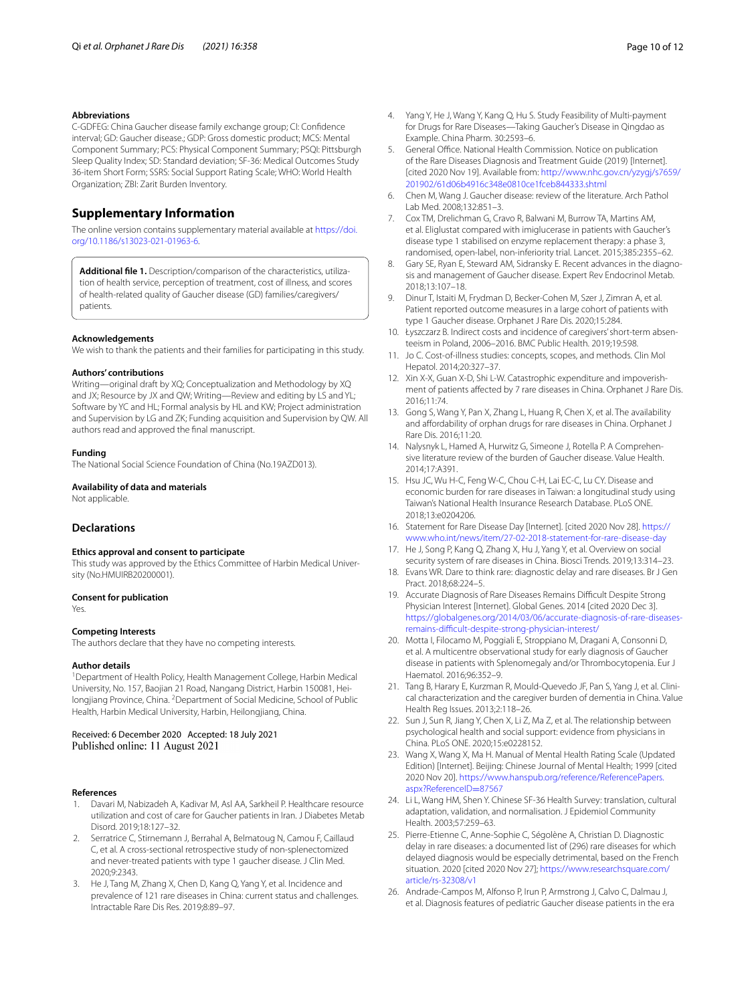## **Abbreviations**

C-GDFEG: China Gaucher disease family exchange group; CI: Confdence interval; GD: Gaucher disease.; GDP: Gross domestic product; MCS: Mental Component Summary; PCS: Physical Component Summary; PSQI: Pittsburgh Sleep Quality Index; SD: Standard deviation; SF-36: Medical Outcomes Study 36-item Short Form; SSRS: Social Support Rating Scale; WHO: World Health Organization; ZBI: Zarit Burden Inventory.

# **Supplementary Information**

The online version contains supplementary material available at [https://doi.](https://doi.org/10.1186/s13023-021-01963-6) [org/10.1186/s13023-021-01963-6](https://doi.org/10.1186/s13023-021-01963-6).

<span id="page-9-24"></span>**Additional fle 1.** Description/comparison of the characteristics, utilization of health service, perception of treatment, cost of illness, and scores of health-related quality of Gaucher disease (GD) families/caregivers/ patients.

#### **Acknowledgements**

We wish to thank the patients and their families for participating in this study.

#### **Authors' contributions**

Writing—original draft by XQ; Conceptualization and Methodology by XQ and JX; Resource by JX and QW; Writing—Review and editing by LS and YL; Software by YC and HL; Formal analysis by HL and KW; Project administration and Supervision by LG and ZK; Funding acquisition and Supervision by QW. All authors read and approved the fnal manuscript.

#### **Funding**

The National Social Science Foundation of China (No.19AZD013).

#### **Availability of data and materials**

Not applicable.

## **Declarations**

#### **Ethics approval and consent to participate**

This study was approved by the Ethics Committee of Harbin Medical University (No.HMUIRB20200001).

#### **Consent for publication**

Yes.

#### **Competing Interests**

The authors declare that they have no competing interests.

#### **Author details**

<sup>1</sup> Department of Health Policy, Health Management College, Harbin Medical University, No. 157, Baojian 21 Road, Nangang District, Harbin 150081, Heilongjiang Province, China. <sup>2</sup> Department of Social Medicine, School of Public Health, Harbin Medical University, Harbin, Heilongjiang, China.

Received: 6 December 2020 Accepted: 18 July 2021

#### **References**

- <span id="page-9-0"></span>1. Davari M, Nabizadeh A, Kadivar M, Asl AA, Sarkheil P. Healthcare resource utilization and cost of care for Gaucher patients in Iran. J Diabetes Metab Disord. 2019;18:127–32.
- <span id="page-9-1"></span>2. Serratrice C, Stirnemann J, Berrahal A, Belmatoug N, Camou F, Caillaud C, et al. A cross-sectional retrospective study of non-splenectomized and never-treated patients with type 1 gaucher disease. J Clin Med. 2020;9:2343.
- <span id="page-9-2"></span>3. He J, Tang M, Zhang X, Chen D, Kang Q, Yang Y, et al. Incidence and prevalence of 121 rare diseases in China: current status and challenges. Intractable Rare Dis Res. 2019;8:89–97.
- <span id="page-9-3"></span>4. Yang Y, He J, Wang Y, Kang Q, Hu S. Study Feasibility of Multi-payment for Drugs for Rare Diseases—Taking Gaucher's Disease in Qingdao as Example. China Pharm. 30:2593–6.
- <span id="page-9-4"></span>5. General Office. National Health Commission. Notice on publication of the Rare Diseases Diagnosis and Treatment Guide (2019) [Internet]. [cited 2020 Nov 19]. Available from: [http://www.nhc.gov.cn/yzygj/s7659/](http://www.nhc.gov.cn/yzygj/s7659/201902/61d06b4916c348e0810ce1fceb844333.shtml) [201902/61d06b4916c348e0810ce1fceb844333.shtml](http://www.nhc.gov.cn/yzygj/s7659/201902/61d06b4916c348e0810ce1fceb844333.shtml)
- <span id="page-9-5"></span>6. Chen M, Wang J. Gaucher disease: review of the literature. Arch Pathol Lab Med. 2008;132:851–3.
- <span id="page-9-6"></span>7. Cox TM, Drelichman G, Cravo R, Balwani M, Burrow TA, Martins AM, et al. Eliglustat compared with imiglucerase in patients with Gaucher's disease type 1 stabilised on enzyme replacement therapy: a phase 3, randomised, open-label, non-inferiority trial. Lancet. 2015;385:2355–62.
- <span id="page-9-7"></span>Gary SE, Ryan E, Steward AM, Sidransky E. Recent advances in the diagnosis and management of Gaucher disease. Expert Rev Endocrinol Metab. 2018;13:107–18.
- <span id="page-9-8"></span>9. Dinur T, Istaiti M, Frydman D, Becker-Cohen M, Szer J, Zimran A, et al. Patient reported outcome measures in a large cohort of patients with type 1 Gaucher disease. Orphanet J Rare Dis. 2020;15:284.
- <span id="page-9-9"></span>10. Łyszczarz B. Indirect costs and incidence of caregivers' short-term absenteeism in Poland, 2006–2016. BMC Public Health. 2019;19:598.
- <span id="page-9-10"></span>11. Jo C. Cost-of-illness studies: concepts, scopes, and methods. Clin Mol Hepatol. 2014;20:327–37.
- <span id="page-9-11"></span>12. Xin X-X, Guan X-D, Shi L-W. Catastrophic expenditure and impoverishment of patients affected by 7 rare diseases in China. Orphanet J Rare Dis. 2016;11:74.
- <span id="page-9-12"></span>13. Gong S, Wang Y, Pan X, Zhang L, Huang R, Chen X, et al. The availability and affordability of orphan drugs for rare diseases in China. Orphanet J Rare Dis. 2016;11:20.
- <span id="page-9-13"></span>14. Nalysnyk L, Hamed A, Hurwitz G, Simeone J, Rotella P. A Comprehensive literature review of the burden of Gaucher disease. Value Health. 2014;17:A391.
- <span id="page-9-14"></span>15. Hsu JC, Wu H-C, Feng W-C, Chou C-H, Lai EC-C, Lu CY. Disease and economic burden for rare diseases in Taiwan: a longitudinal study using Taiwan's National Health Insurance Research Database. PLoS ONE. 2018;13:e0204206.
- <span id="page-9-15"></span>16. Statement for Rare Disease Day [Internet]. [cited 2020 Nov 28]. [https://](https://www.who.int/news/item/27-02-2018-statement-for-rare-disease-day) [www.who.int/news/item/27-02-2018-statement-for-rare-disease-day](https://www.who.int/news/item/27-02-2018-statement-for-rare-disease-day)
- <span id="page-9-16"></span>17. He J, Song P, Kang Q, Zhang X, Hu J, Yang Y, et al. Overview on social security system of rare diseases in China. Biosci Trends. 2019;13:314–23.
- <span id="page-9-17"></span>18. Evans WR. Dare to think rare: diagnostic delay and rare diseases. Br J Gen Pract. 2018;68:224–5.
- <span id="page-9-18"></span>19. Accurate Diagnosis of Rare Diseases Remains Difficult Despite Strong Physician Interest [Internet]. Global Genes. 2014 [cited 2020 Dec 3]. [https://globalgenes.org/2014/03/06/accurate-diagnosis-of-rare-diseases](https://globalgenes.org/2014/03/06/accurate-diagnosis-of-rare-diseases-remains-difficult-despite-strong-physician-interest/)[remains-difcult-despite-strong-physician-interest/](https://globalgenes.org/2014/03/06/accurate-diagnosis-of-rare-diseases-remains-difficult-despite-strong-physician-interest/)
- <span id="page-9-19"></span>20. Motta I, Filocamo M, Poggiali E, Stroppiano M, Dragani A, Consonni D, et al. A multicentre observational study for early diagnosis of Gaucher disease in patients with Splenomegaly and/or Thrombocytopenia. Eur J Haematol. 2016;96:352–9.
- <span id="page-9-20"></span>21. Tang B, Harary E, Kurzman R, Mould-Quevedo JF, Pan S, Yang J, et al. Clinical characterization and the caregiver burden of dementia in China. Value Health Reg Issues. 2013;2:118–26.
- <span id="page-9-21"></span>22. Sun J, Sun R, Jiang Y, Chen X, Li Z, Ma Z, et al. The relationship between psychological health and social support: evidence from physicians in China. PLoS ONE. 2020;15:e0228152.
- <span id="page-9-22"></span>23. Wang X, Wang X, Ma H. Manual of Mental Health Rating Scale (Updated Edition) [Internet]. Beijing: Chinese Journal of Mental Health; 1999 [cited 2020 Nov 20]. [https://www.hanspub.org/reference/ReferencePapers.](https://www.hanspub.org/reference/ReferencePapers.aspx?ReferenceID=87567) [aspx?ReferenceID](https://www.hanspub.org/reference/ReferencePapers.aspx?ReferenceID=87567)=87567
- <span id="page-9-23"></span>24. Li L, Wang HM, Shen Y. Chinese SF-36 Health Survey: translation, cultural adaptation, validation, and normalisation. J Epidemiol Community Health. 2003;57:259–63.
- <span id="page-9-25"></span>25. Pierre-Etienne C, Anne-Sophie C, Ségolène A, Christian D. Diagnostic delay in rare diseases: a documented list of (296) rare diseases for which delayed diagnosis would be especially detrimental, based on the French situation. 2020 [cited 2020 Nov 27]; [https://www.researchsquare.com/](https://www.researchsquare.com/article/rs-32308/v1) [article/rs-32308/v1](https://www.researchsquare.com/article/rs-32308/v1)
- <span id="page-9-26"></span>26. Andrade-Campos M, Alfonso P, Irun P, Armstrong J, Calvo C, Dalmau J, et al. Diagnosis features of pediatric Gaucher disease patients in the era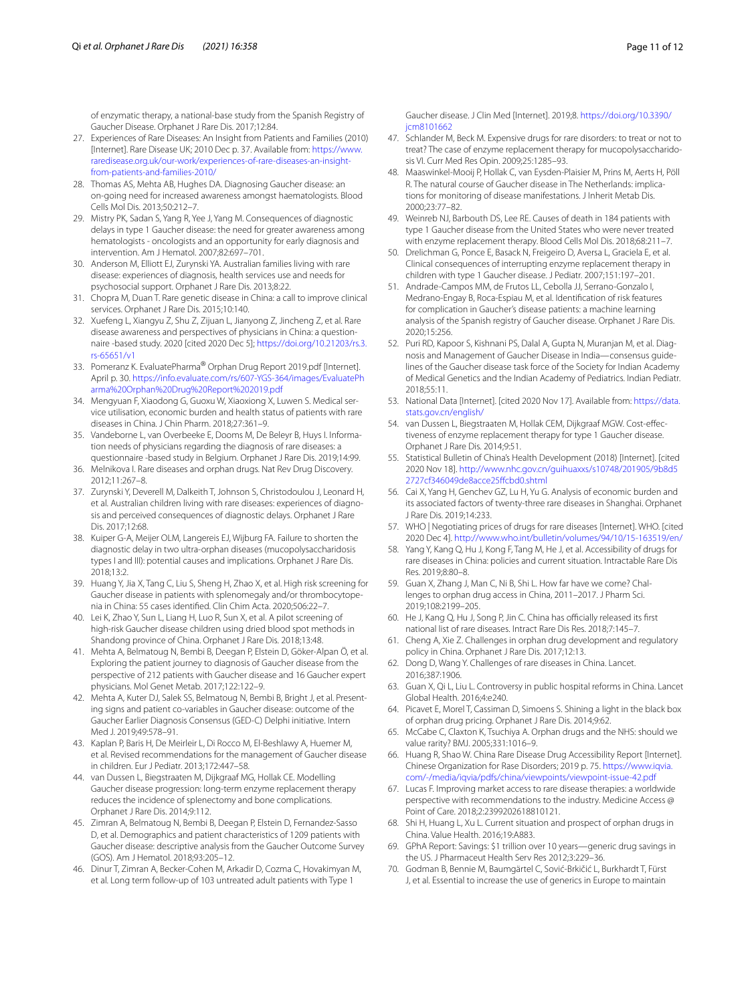of enzymatic therapy, a national-base study from the Spanish Registry of Gaucher Disease. Orphanet J Rare Dis. 2017;12:84.

- <span id="page-10-0"></span>27. Experiences of Rare Diseases: An Insight from Patients and Families (2010) [Internet]. Rare Disease UK; 2010 Dec p. 37. Available from: [https://www.](https://www.raredisease.org.uk/our-work/experiences-of-rare-diseases-an-insight-from-patients-and-families-2010/) [raredisease.org.uk/our-work/experiences-of-rare-diseases-an-insight](https://www.raredisease.org.uk/our-work/experiences-of-rare-diseases-an-insight-from-patients-and-families-2010/)[from-patients-and-families-2010/](https://www.raredisease.org.uk/our-work/experiences-of-rare-diseases-an-insight-from-patients-and-families-2010/)
- <span id="page-10-1"></span>28. Thomas AS, Mehta AB, Hughes DA. Diagnosing Gaucher disease: an on-going need for increased awareness amongst haematologists. Blood Cells Mol Dis. 2013;50:212–7.
- <span id="page-10-2"></span>29. Mistry PK, Sadan S, Yang R, Yee J, Yang M. Consequences of diagnostic delays in type 1 Gaucher disease: the need for greater awareness among hematologists - oncologists and an opportunity for early diagnosis and intervention. Am J Hematol. 2007;82:697–701.
- <span id="page-10-3"></span>30. Anderson M, Elliott EJ, Zurynski YA. Australian families living with rare disease: experiences of diagnosis, health services use and needs for psychosocial support. Orphanet J Rare Dis. 2013;8:22.
- <span id="page-10-4"></span>31. Chopra M, Duan T. Rare genetic disease in China: a call to improve clinical services. Orphanet J Rare Dis. 2015;10:140.
- 32. Xuefeng L, Xiangyu Z, Shu Z, Zijuan L, Jianyong Z, Jincheng Z, et al. Rare disease awareness and perspectives of physicians in China: a questionnaire -based study. 2020 [cited 2020 Dec 5]; [https://doi.org/10.21203/rs.3.](https://doi.org/10.21203/rs.3.rs-65651/v1) [rs-65651/v1](https://doi.org/10.21203/rs.3.rs-65651/v1)
- <span id="page-10-5"></span>33. Pomeranz K. EvaluatePharma® Orphan Drug Report 2019.pdf [Internet]. April p. 30. [https://info.evaluate.com/rs/607-YGS-364/images/EvaluatePh](https://info.evaluate.com/rs/607-YGS-364/images/EvaluatePharma%20Orphan%20Drug%20Report%202019.pdf) [arma%20Orphan%20Drug%20Report%202019.pdf](https://info.evaluate.com/rs/607-YGS-364/images/EvaluatePharma%20Orphan%20Drug%20Report%202019.pdf)
- <span id="page-10-6"></span>34. Mengyuan F, Xiaodong G, Guoxu W, Xiaoxiong X, Luwen S. Medical service utilisation, economic burden and health status of patients with rare diseases in China. J Chin Pharm. 2018;27:361–9.
- <span id="page-10-7"></span>35. Vandeborne L, van Overbeeke E, Dooms M, De Beleyr B, Huys I. Information needs of physicians regarding the diagnosis of rare diseases: a questionnaire -based study in Belgium. Orphanet J Rare Dis. 2019;14:99.
- <span id="page-10-8"></span>36. Melnikova I. Rare diseases and orphan drugs. Nat Rev Drug Discovery. 2012;11:267–8.
- <span id="page-10-9"></span>37. Zurynski Y, Deverell M, Dalkeith T, Johnson S, Christodoulou J, Leonard H, et al. Australian children living with rare diseases: experiences of diagnosis and perceived consequences of diagnostic delays. Orphanet J Rare Dis. 2017;12:68.
- <span id="page-10-10"></span>38. Kuiper G-A, Meijer OLM, Langereis EJ, Wijburg FA. Failure to shorten the diagnostic delay in two ultra-orphan diseases (mucopolysaccharidosis types I and III): potential causes and implications. Orphanet J Rare Dis. 2018;13:2.
- <span id="page-10-11"></span>39. Huang Y, Jia X, Tang C, Liu S, Sheng H, Zhao X, et al. High risk screening for Gaucher disease in patients with splenomegaly and/or thrombocytopenia in China: 55 cases identifed. Clin Chim Acta. 2020;506:22–7.
- 40. Lei K, Zhao Y, Sun L, Liang H, Luo R, Sun X, et al. A pilot screening of high-risk Gaucher disease children using dried blood spot methods in Shandong province of China. Orphanet J Rare Dis. 2018;13:48.
- <span id="page-10-12"></span>41. Mehta A, Belmatoug N, Bembi B, Deegan P, Elstein D, Göker-Alpan Ö, et al. Exploring the patient journey to diagnosis of Gaucher disease from the perspective of 212 patients with Gaucher disease and 16 Gaucher expert physicians. Mol Genet Metab. 2017;122:122–9.
- <span id="page-10-13"></span>42. Mehta A, Kuter DJ, Salek SS, Belmatoug N, Bembi B, Bright J, et al. Presenting signs and patient co-variables in Gaucher disease: outcome of the Gaucher Earlier Diagnosis Consensus (GED-C) Delphi initiative. Intern Med J. 2019;49:578–91.
- <span id="page-10-14"></span>43. Kaplan P, Baris H, De Meirleir L, Di Rocco M, El-Beshlawy A, Huemer M, et al. Revised recommendations for the management of Gaucher disease in children. Eur J Pediatr. 2013;172:447–58.
- <span id="page-10-15"></span>44. van Dussen L, Biegstraaten M, Dijkgraaf MG, Hollak CE. Modelling Gaucher disease progression: long-term enzyme replacement therapy reduces the incidence of splenectomy and bone complications. Orphanet J Rare Dis. 2014;9:112.
- <span id="page-10-16"></span>45. Zimran A, Belmatoug N, Bembi B, Deegan P, Elstein D, Fernandez-Sasso D, et al. Demographics and patient characteristics of 1209 patients with Gaucher disease: descriptive analysis from the Gaucher Outcome Survey (GOS). Am J Hematol. 2018;93:205–12.
- <span id="page-10-17"></span>46. Dinur T, Zimran A, Becker-Cohen M, Arkadir D, Cozma C, Hovakimyan M, et al. Long term follow-up of 103 untreated adult patients with Type 1

Gaucher disease. J Clin Med [Internet]. 2019;8. [https://doi.org/10.3390/](https://doi.org/10.3390/jcm8101662) icm8101662

- <span id="page-10-18"></span>47. Schlander M, Beck M. Expensive drugs for rare disorders: to treat or not to treat? The case of enzyme replacement therapy for mucopolysaccharidosis VI. Curr Med Res Opin. 2009;25:1285–93.
- <span id="page-10-19"></span>48. Maaswinkel-Mooij P, Hollak C, van Eysden-Plaisier M, Prins M, Aerts H, Pöll R. The natural course of Gaucher disease in The Netherlands: implications for monitoring of disease manifestations. J Inherit Metab Dis. 2000;23:77–82.
- <span id="page-10-20"></span>49. Weinreb NJ, Barbouth DS, Lee RE. Causes of death in 184 patients with type 1 Gaucher disease from the United States who were never treated with enzyme replacement therapy. Blood Cells Mol Dis. 2018;68:211–7.
- <span id="page-10-21"></span>50. Drelichman G, Ponce E, Basack N, Freigeiro D, Aversa L, Graciela E, et al. Clinical consequences of interrupting enzyme replacement therapy in children with type 1 Gaucher disease. J Pediatr. 2007;151:197–201.
- <span id="page-10-22"></span>51. Andrade-Campos MM, de Frutos LL, Cebolla JJ, Serrano-Gonzalo I, Medrano-Engay B, Roca-Espiau M, et al. Identifcation of risk features for complication in Gaucher's disease patients: a machine learning analysis of the Spanish registry of Gaucher disease. Orphanet J Rare Dis. 2020;15:256.
- <span id="page-10-23"></span>52. Puri RD, Kapoor S, Kishnani PS, Dalal A, Gupta N, Muranjan M, et al. Diagnosis and Management of Gaucher Disease in India—consensus guidelines of the Gaucher disease task force of the Society for Indian Academy of Medical Genetics and the Indian Academy of Pediatrics. Indian Pediatr. 2018;55:11.
- <span id="page-10-24"></span>53. National Data [Internet]. [cited 2020 Nov 17]. Available from: [https://data.](https://data.stats.gov.cn/english/) [stats.gov.cn/english/](https://data.stats.gov.cn/english/)
- <span id="page-10-25"></span>54. van Dussen L, Biegstraaten M, Hollak CEM, Dijkgraaf MGW. Cost-efectiveness of enzyme replacement therapy for type 1 Gaucher disease. Orphanet J Rare Dis. 2014;9:51.
- <span id="page-10-26"></span>55. Statistical Bulletin of China's Health Development (2018) [Internet]. [cited 2020 Nov 18]. [http://www.nhc.gov.cn/guihuaxxs/s10748/201905/9b8d5](http://www.nhc.gov.cn/guihuaxxs/s10748/201905/9b8d52727cf346049de8acce25ffcbd0.shtml) [2727cf346049de8acce25fcbd0.shtml](http://www.nhc.gov.cn/guihuaxxs/s10748/201905/9b8d52727cf346049de8acce25ffcbd0.shtml)
- <span id="page-10-27"></span>56. Cai X, Yang H, Genchev GZ, Lu H, Yu G. Analysis of economic burden and its associated factors of twenty-three rare diseases in Shanghai. Orphanet J Rare Dis. 2019;14:233.
- <span id="page-10-28"></span>57. WHO | Negotiating prices of drugs for rare diseases [Internet]. WHO. [cited 2020 Dec 4].<http://www.who.int/bulletin/volumes/94/10/15-163519/en/>
- <span id="page-10-29"></span>58. Yang Y, Kang Q, Hu J, Kong F, Tang M, He J, et al. Accessibility of drugs for rare diseases in China: policies and current situation. Intractable Rare Dis Res. 2019;8:80–8.
- <span id="page-10-30"></span>59. Guan X, Zhang J, Man C, Ni B, Shi L. How far have we come? Challenges to orphan drug access in China, 2011–2017. J Pharm Sci. 2019;108:2199–205.
- <span id="page-10-31"></span>60. He J, Kang Q, Hu J, Song P, Jin C. China has officially released its first national list of rare diseases. Intract Rare Dis Res. 2018;7:145–7.
- <span id="page-10-32"></span>61. Cheng A, Xie Z. Challenges in orphan drug development and regulatory policy in China. Orphanet J Rare Dis. 2017;12:13.
- <span id="page-10-33"></span>62. Dong D, Wang Y. Challenges of rare diseases in China. Lancet. 2016;387:1906.
- <span id="page-10-34"></span>63. Guan X, Qi L, Liu L. Controversy in public hospital reforms in China. Lancet Global Health. 2016;4:e240.
- <span id="page-10-35"></span>64. Picavet E, Morel T, Cassiman D, Simoens S. Shining a light in the black box of orphan drug pricing. Orphanet J Rare Dis. 2014;9:62.
- <span id="page-10-36"></span>65. McCabe C, Claxton K, Tsuchiya A. Orphan drugs and the NHS: should we value rarity? BMJ. 2005;331:1016–9.
- <span id="page-10-37"></span>66. Huang R, Shao W. China Rare Disease Drug Accessibility Report [Internet]. Chinese Organization for Rase Disorders; 2019 p. 75. [https://www.iqvia.](https://www.iqvia.com/-/media/iqvia/pdfs/china/viewpoints/viewpoint-issue-42.pdf) [com/-/media/iqvia/pdfs/china/viewpoints/viewpoint-issue-42.pdf](https://www.iqvia.com/-/media/iqvia/pdfs/china/viewpoints/viewpoint-issue-42.pdf)
- <span id="page-10-38"></span>67. Lucas F. Improving market access to rare disease therapies: a worldwide perspective with recommendations to the industry. Medicine Access @ Point of Care. 2018;2:2399202618810121.
- <span id="page-10-39"></span>68. Shi H, Huang L, Xu L. Current situation and prospect of orphan drugs in China. Value Health. 2016;19:A883.
- <span id="page-10-40"></span>69. GPhA Report: Savings: \$1 trillion over 10 years—generic drug savings in the US. J Pharmaceut Health Serv Res 2012;3:229–36.
- <span id="page-10-41"></span>70. Godman B, Bennie M, Baumgärtel C, Sović-Brkičić L, Burkhardt T, Fürst J, et al. Essential to increase the use of generics in Europe to maintain